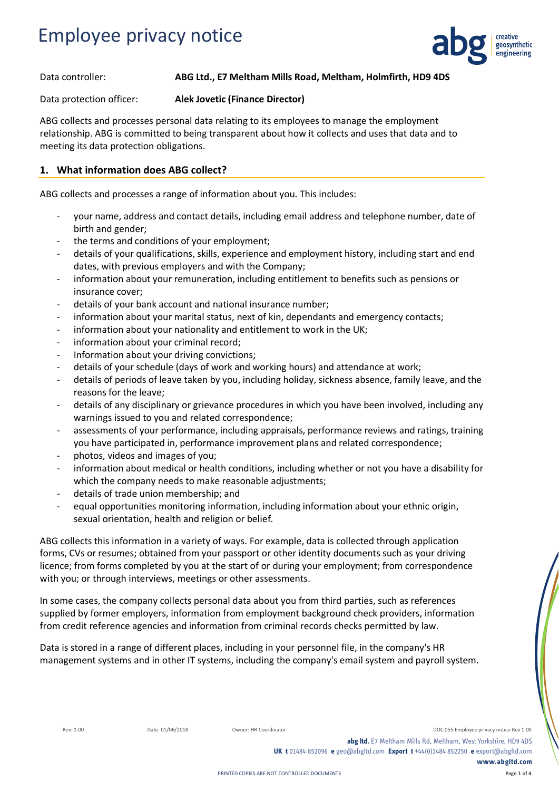

#### Data controller: **ABG Ltd., E7 Meltham Mills Road, Meltham, Holmfirth, HD9 4DS**

Data protection officer: **Alek Jovetic (Finance Director)**

ABG collects and processes personal data relating to its employees to manage the employment relationship. ABG is committed to being transparent about how it collects and uses that data and to meeting its data protection obligations.

#### **1. What information does ABG collect?**

ABG collects and processes a range of information about you. This includes:

- your name, address and contact details, including email address and telephone number, date of birth and gender;
- the terms and conditions of your employment;
- details of your qualifications, skills, experience and employment history, including start and end dates, with previous employers and with the Company;
- information about your remuneration, including entitlement to benefits such as pensions or insurance cover;
- details of your bank account and national insurance number;
- information about your marital status, next of kin, dependants and emergency contacts;
- information about your nationality and entitlement to work in the UK;
- information about your criminal record;
- Information about your driving convictions;
- details of your schedule (days of work and working hours) and attendance at work;
- details of periods of leave taken by you, including holiday, sickness absence, family leave, and the reasons for the leave;
- details of any disciplinary or grievance procedures in which you have been involved, including any warnings issued to you and related correspondence;
- assessments of your performance, including appraisals, performance reviews and ratings, training you have participated in, performance improvement plans and related correspondence;
- photos, videos and images of you;
- information about medical or health conditions, including whether or not you have a disability for which the company needs to make reasonable adjustments;
- details of trade union membership; and
- equal opportunities monitoring information, including information about your ethnic origin, sexual orientation, health and religion or belief.

ABG collects this information in a variety of ways. For example, data is collected through application forms, CVs or resumes; obtained from your passport or other identity documents such as your driving licence; from forms completed by you at the start of or during your employment; from correspondence with you; or through interviews, meetings or other assessments.

In some cases, the company collects personal data about you from third parties, such as references supplied by former employers, information from employment background check providers, information from credit reference agencies and information from criminal records checks permitted by law.

Data is stored in a range of different places, including in your personnel file, in the company's HR management systems and in other IT systems, including the company's email system and payroll system.

Rev: 1.00 Date: 01/06/2018 Owner: HR Coordinator Communication DOC.055 Employee privacy notice Rev 1.00 **abg ltd.** E7 Meltham Mills Rd, Meltham, West Yorkshire, HD9 4DS **UK t** 01484 852096 **e** geo@abgltd.com **Export t** +44(0)1484 852250 **e** export@abgltd.com **www.abgltd.com**

**Page 1 of 4**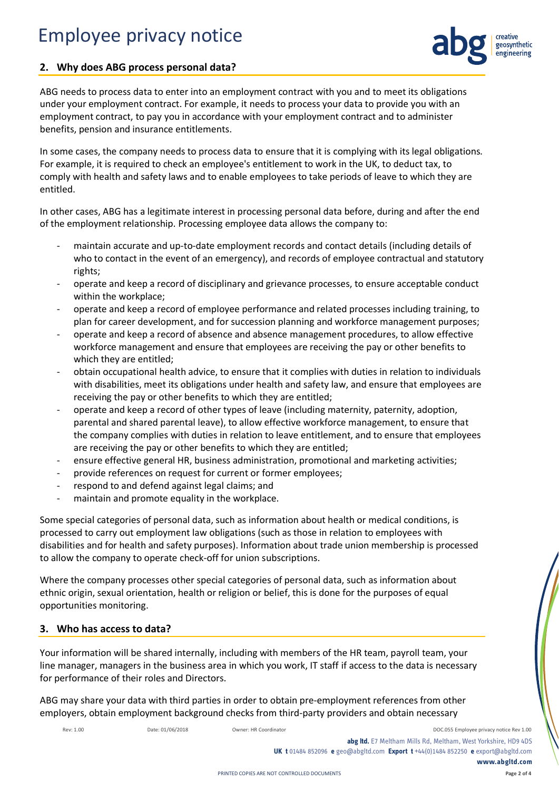

### **2. Why does ABG process personal data?**

ABG needs to process data to enter into an employment contract with you and to meet its obligations under your employment contract. For example, it needs to process your data to provide you with an employment contract, to pay you in accordance with your employment contract and to administer benefits, pension and insurance entitlements.

In some cases, the company needs to process data to ensure that it is complying with its legal obligations. For example, it is required to check an employee's entitlement to work in the UK, to deduct tax, to comply with health and safety laws and to enable employees to take periods of leave to which they are entitled.

In other cases, ABG has a legitimate interest in processing personal data before, during and after the end of the employment relationship. Processing employee data allows the company to:

- maintain accurate and up-to-date employment records and contact details (including details of who to contact in the event of an emergency), and records of employee contractual and statutory rights;
- operate and keep a record of disciplinary and grievance processes, to ensure acceptable conduct within the workplace;
- operate and keep a record of employee performance and related processes including training, to plan for career development, and for succession planning and workforce management purposes;
- operate and keep a record of absence and absence management procedures, to allow effective workforce management and ensure that employees are receiving the pay or other benefits to which they are entitled;
- obtain occupational health advice, to ensure that it complies with duties in relation to individuals with disabilities, meet its obligations under health and safety law, and ensure that employees are receiving the pay or other benefits to which they are entitled;
- operate and keep a record of other types of leave (including maternity, paternity, adoption, parental and shared parental leave), to allow effective workforce management, to ensure that the company complies with duties in relation to leave entitlement, and to ensure that employees are receiving the pay or other benefits to which they are entitled;
- ensure effective general HR, business administration, promotional and marketing activities;
- provide references on request for current or former employees;
- respond to and defend against legal claims; and
- maintain and promote equality in the workplace.

Some special categories of personal data, such as information about health or medical conditions, is processed to carry out employment law obligations (such as those in relation to employees with disabilities and for health and safety purposes). Information about trade union membership is processed to allow the company to operate check-off for union subscriptions.

Where the company processes other special categories of personal data, such as information about ethnic origin, sexual orientation, health or religion or belief, this is done for the purposes of equal opportunities monitoring.

#### **3. Who has access to data?**

Your information will be shared internally, including with members of the HR team, payroll team, your line manager, managers in the business area in which you work, IT staff if access to the data is necessary for performance of their roles and Directors.

ABG may share your data with third parties in order to obtain pre-employment references from other employers, obtain employment background checks from third-party providers and obtain necessary

Rev: 1.00 Date: 01/06/2018 Owner: HR Coordinator Device Assessment DOC.055 Employee privacy notice Rev 1.00

**abg ltd.** E7 Meltham Mills Rd, Meltham, West Yorkshire, HD9 4DS

**UK t** 01484 852096 **e** geo@abgltd.com **Export t** +44(0)1484 852250 **e** export@abgltd.com **www.abgltd.com**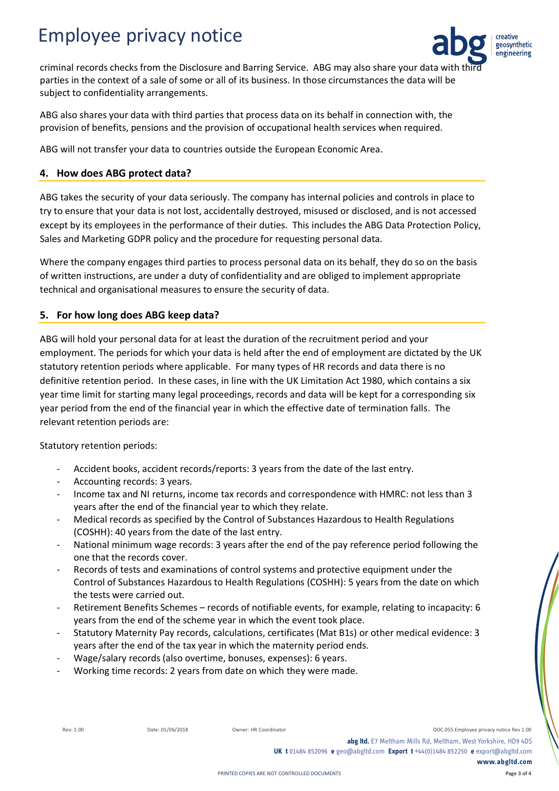

criminal records checks from the Disclosure and Barring Service. ABG may also share your data with the parties in the context of a sale of some or all of its business. In those circumstances the data will be subject to confidentiality arrangements.

ABG also shares your data with third parties that process data on its behalf in connection with, the provision of benefits, pensions and the provision of occupational health services when required.

ABG will not transfer your data to countries outside the European Economic Area.

### **4. How does ABG protect data?**

ABG takes the security of your data seriously. The company has internal policies and controls in place to try to ensure that your data is not lost, accidentally destroyed, misused or disclosed, and is not accessed except by its employees in the performance of their duties. This includes the ABG Data Protection Policy, Sales and Marketing GDPR policy and the procedure for requesting personal data.

Where the company engages third parties to process personal data on its behalf, they do so on the basis of written instructions, are under a duty of confidentiality and are obliged to implement appropriate technical and organisational measures to ensure the security of data.

### **5. For how long does ABG keep data?**

ABG will hold your personal data for at least the duration of the recruitment period and your employment. The periods for which your data is held after the end of employment are dictated by the UK statutory retention periods where applicable. For many types of HR records and data there is no definitive retention period. In these cases, in line with the UK Limitation Act 1980, which contains a six year time limit for starting many legal proceedings, records and data will be kept for a corresponding six year period from the end of the financial year in which the effective date of termination falls. The relevant retention periods are:

Statutory retention periods:

- Accident books, accident records/reports: 3 years from the date of the last entry.
- Accounting records: 3 years.
- Income tax and NI returns, income tax records and correspondence with HMRC: not less than 3 years after the end of the financial year to which they relate.
- Medical records as specified by the Control of Substances Hazardous to Health Regulations (COSHH): 40 years from the date of the last entry.
- National minimum wage records: 3 years after the end of the pay reference period following the one that the records cover.
- Records of tests and examinations of control systems and protective equipment under the Control of Substances Hazardous to Health Regulations (COSHH): 5 years from the date on which the tests were carried out.
- Retirement Benefits Schemes records of notifiable events, for example, relating to incapacity: 6 years from the end of the scheme year in which the event took place.
- Statutory Maternity Pay records, calculations, certificates (Mat B1s) or other medical evidence: 3 years after the end of the tax year in which the maternity period ends.
- Wage/salary records (also overtime, bonuses, expenses): 6 years.
- Working time records: 2 years from date on which they were made.

Rev: 1.00 Date: 01/06/2018 Owner: HR Coordinator Communication DOC.055 Employee privacy notice Rev 1.00

**abg ltd.** E7 Meltham Mills Rd, Meltham, West Yorkshire, HD9 4DS